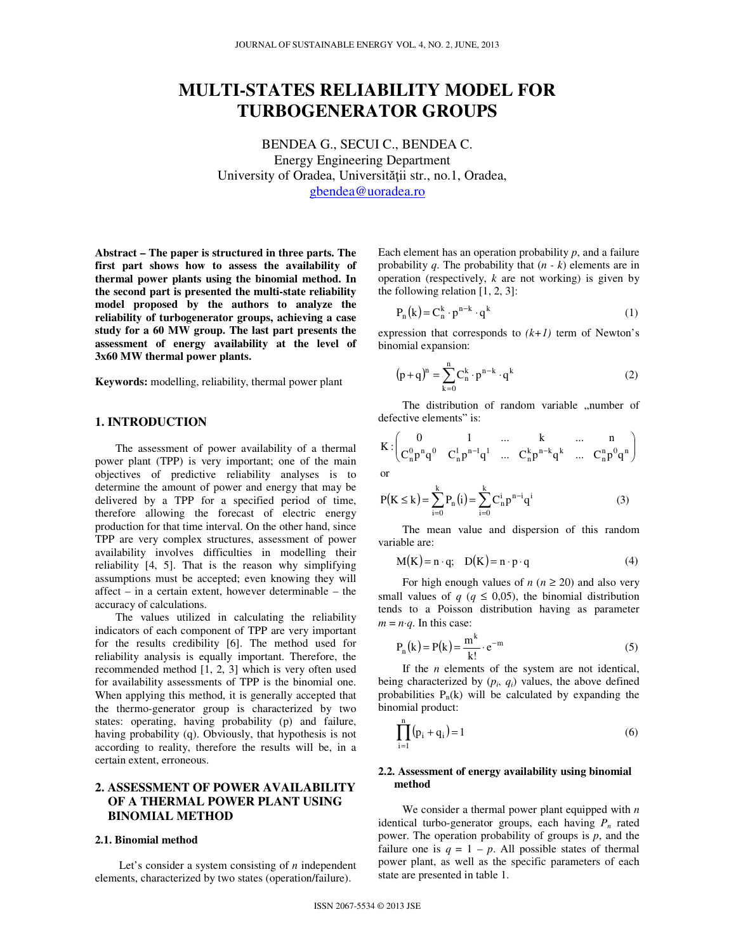# **MULTI-STATES RELIABILITY MODEL FOR TURBOGENERATOR GROUPS**

BENDEA G., SECUI C., BENDEA C. Energy Engineering Department University of Oradea, Universităţii str., no.1, Oradea, gbendea@uoradea.ro

**Abstract – The paper is structured in three parts. The first part shows how to assess the availability of thermal power plants using the binomial method. In the second part is presented the multi-state reliability model proposed by the authors to analyze the reliability of turbogenerator groups, achieving a case study for a 60 MW group. The last part presents the assessment of energy availability at the level of 3x60 MW thermal power plants.** 

**Keywords:** modelling, reliability, thermal power plant

#### **1. INTRODUCTION**

The assessment of power availability of a thermal power plant (TPP) is very important; one of the main objectives of predictive reliability analyses is to determine the amount of power and energy that may be delivered by a TPP for a specified period of time, therefore allowing the forecast of electric energy production for that time interval. On the other hand, since TPP are very complex structures, assessment of power availability involves difficulties in modelling their reliability [4, 5]. That is the reason why simplifying assumptions must be accepted; even knowing they will affect – in a certain extent, however determinable – the accuracy of calculations.

The values utilized in calculating the reliability indicators of each component of TPP are very important for the results credibility [6]. The method used for reliability analysis is equally important. Therefore, the recommended method [1, 2, 3] which is very often used for availability assessments of TPP is the binomial one. When applying this method, it is generally accepted that the thermo-generator group is characterized by two states: operating, having probability (p) and failure, having probability (q). Obviously, that hypothesis is not according to reality, therefore the results will be, in a certain extent, erroneous.

## **2. ASSESSMENT OF POWER AVAILABILITY OF A THERMAL POWER PLANT USING BINOMIAL METHOD**

#### **2.1. Binomial method**

Let's consider a system consisting of *n* independent elements, characterized by two states (operation/failure).

Each element has an operation probability *p*, and a failure probability *q*. The probability that (*n - k*) elements are in operation (respectively, *k* are not working) is given by the following relation [1, 2, 3]:

$$
P_n(k) = C_n^k \cdot p^{n-k} \cdot q^k
$$
 (1)

expression that corresponds to  $(k+1)$  term of Newton's binomial expansion:

$$
(p+q)^{n} = \sum_{k=0}^{n} C_{n}^{k} \cdot p^{n-k} \cdot q^{k}
$$
 (2)

The distribution of random variable "number of defective elements" is:

$$
K: \begin{pmatrix} 0 & 1 & ... & k & ... & n \\ C_n^0 p^n q^0 & C_n^1 p^{n-1} q^1 & ... & C_n^k p^{n-k} q^k & ... & C_n^n p^0 q^n \end{pmatrix}
$$
 or

$$
P(K \le k) = \sum_{i=0}^{k} P_n(i) = \sum_{i=0}^{k} C_n^{i} p^{n-i} q^{i}
$$
 (3)

The mean value and dispersion of this random variable are:

$$
M(K) = n \cdot q; \quad D(K) = n \cdot p \cdot q \tag{4}
$$

For high enough values of  $n (n \ge 20)$  and also very small values of  $q \ (q \leq 0.05)$ , the binomial distribution tends to a Poisson distribution having as parameter  $m = n \cdot q$ . In this case:

$$
P_n(k) = P(k) = \frac{m^k}{k!} \cdot e^{-m}
$$
 (5)

If the *n* elements of the system are not identical, being characterized by  $(p_i, q_i)$  values, the above defined probabilities  $P_n(k)$  will be calculated by expanding the binomial product:

$$
\prod_{i=1}^{n} (p_i + q_i) = 1
$$
 (6)

#### **2.2. Assessment of energy availability using binomial method**

We consider a thermal power plant equipped with *n* identical turbo-generator groups, each having  $P_n$  rated power. The operation probability of groups is *p*, and the failure one is  $q = 1 - p$ . All possible states of thermal power plant, as well as the specific parameters of each state are presented in table 1.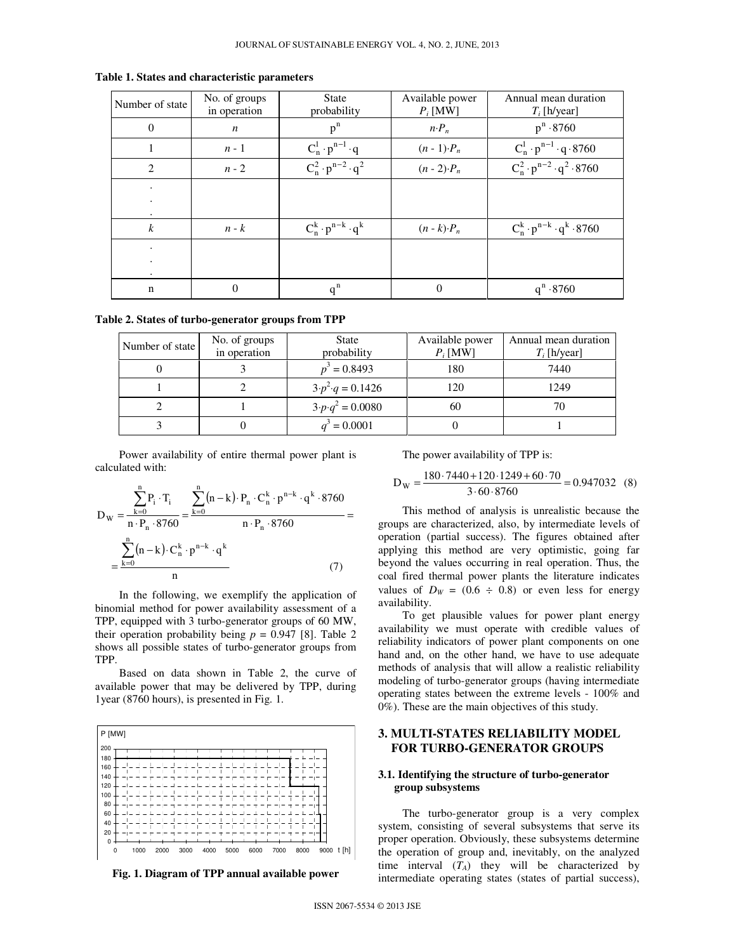| Number of state        | No. of groups<br>in operation | <b>State</b><br>probability     | Available power<br>$P_i$ [MW] | Annual mean duration<br>$T_i$ [h/year]     |
|------------------------|-------------------------------|---------------------------------|-------------------------------|--------------------------------------------|
| $\overline{0}$         | $\boldsymbol{n}$              | $p^n$                           | $n \cdot P_n$                 | $p^n \cdot 8760$                           |
| 1                      | $n-1$                         | $C_n^1 \cdot p^{n-1} \cdot q$   | $(n-1)\cdot P_n$              | $C_n^1 \cdot p^{n-1} \cdot q \cdot 8760$   |
| $\overline{2}$         | $n-2$                         | $C_n^2 \cdot p^{n-2} \cdot q^2$ | $(n - 2) \cdot P_n$           | $C_n^2 \cdot p^{n-2} \cdot q^2 \cdot 8760$ |
| $\bullet$              |                               |                                 |                               |                                            |
| $\bullet$<br>$\bullet$ |                               |                                 |                               |                                            |
| $\boldsymbol{k}$       | $n - k$                       | $C_n^k \cdot p^{n-k} \cdot q^k$ | $(n-k) \cdot P_n$             | $C_n^k \cdot p^{n-k} \cdot q^k \cdot 8760$ |
| ٠                      |                               |                                 |                               |                                            |
| ٠                      |                               |                                 |                               |                                            |
| n                      | $\theta$                      | $q^n$                           | $\Omega$                      | $q^n \cdot 8760$                           |

**Table 1. States and characteristic parameters** 

| Table 2. States of turbo-generator groups from TPP |  |  |
|----------------------------------------------------|--|--|
|----------------------------------------------------|--|--|

| Number of state | No. of groups<br>in operation | State<br>probability           | Available power<br>$P_i$ [MW] | Annual mean duration<br>$T_i$ [h/year] |
|-----------------|-------------------------------|--------------------------------|-------------------------------|----------------------------------------|
|                 |                               | $p^3 = 0.8493$                 | 180                           | 7440                                   |
|                 |                               | $3 \cdot p^2 \cdot q = 0.1426$ | 120                           | 1249                                   |
|                 |                               | $3 \cdot p \cdot q^2 = 0.0080$ | 60                            | 70                                     |
|                 |                               | $q^3 = 0.0001$                 |                               |                                        |

Power availability of entire thermal power plant is calculated with:

$$
D_{W} = \frac{\sum_{k=0}^{n} P_{i} \cdot T_{i}}{n \cdot P_{n} \cdot 8760} = \frac{\sum_{k=0}^{n} (n-k) \cdot P_{n} \cdot C_{n}^{k} \cdot p^{n-k} \cdot q^{k} \cdot 8760}{n \cdot P_{n} \cdot 8760} = \frac{\sum_{k=0}^{n} (n-k) \cdot C_{n}^{k} \cdot p^{n-k} \cdot q^{k}}{n}
$$
\n(7)

In the following, we exemplify the application of binomial method for power availability assessment of a TPP, equipped with 3 turbo-generator groups of 60 MW, their operation probability being  $p = 0.947$  [8]. Table 2 shows all possible states of turbo-generator groups from TPP.

Based on data shown in Table 2, the curve of available power that may be delivered by TPP, during 1year (8760 hours), is presented in Fig. 1.



**Fig. 1. Diagram of TPP annual available power** 

The power availability of TPP is:

$$
D_{\rm W} = \frac{180.7440 + 120.1249 + 60.70}{3.60.8760} = 0.947032
$$
 (8)

This method of analysis is unrealistic because the groups are characterized, also, by intermediate levels of operation (partial success). The figures obtained after applying this method are very optimistic, going far beyond the values occurring in real operation. Thus, the coal fired thermal power plants the literature indicates values of  $D_W = (0.6 \div 0.8)$  or even less for energy availability.

To get plausible values for power plant energy availability we must operate with credible values of reliability indicators of power plant components on one hand and, on the other hand, we have to use adequate methods of analysis that will allow a realistic reliability modeling of turbo-generator groups (having intermediate operating states between the extreme levels - 100% and 0%). These are the main objectives of this study.

### **3. MULTI-STATES RELIABILITY MODEL FOR TURBO-GENERATOR GROUPS**

#### **3.1. Identifying the structure of turbo-generator group subsystems**

The turbo-generator group is a very complex system, consisting of several subsystems that serve its proper operation. Obviously, these subsystems determine the operation of group and, inevitably, on the analyzed time interval  $(T_A)$  they will be characterized by intermediate operating states (states of partial success),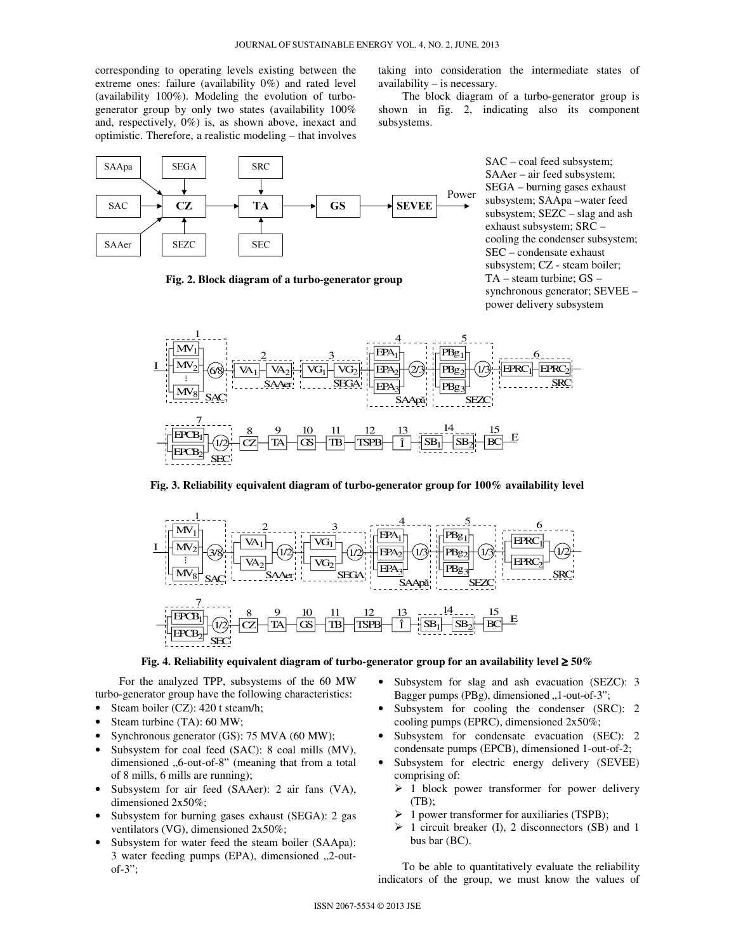corresponding to operating levels existing between the extreme ones: failure (availability 0%) and rated level (availability 100%). Modeling the evolution of turbogenerator group by only two states (availability 100% and, respectively, 0%) is, as shown above, inexact and optimistic. Therefore, a realistic modeling – that involves

taking into consideration the intermediate states of availability – is necessary.

The block diagram of a turbo-generator group is shown in fig. 2, indicating also its component subsystems.



**Fig. 2. Block diagram of a turbo-generator group** 

SAC – coal feed subsystem; SAAer – air feed subsystem; SEGA – burning gases exhaust subsystem; SAApa –water feed subsystem; SEZC – slag and ash exhaust subsystem; SRC – cooling the condenser subsystem; SEC – condensate exhaust subsystem; CZ - steam boiler; TA – steam turbine; GS – synchronous generator; SEVEE – power delivery subsystem



**Fig. 3. Reliability equivalent diagram of turbo-generator group for 100% availability level** 



**Fig. 4. Reliability equivalent diagram of turbo-generator group for an availability level** ≥ **50%**

For the analyzed TPP, subsystems of the 60 MW turbo-generator group have the following characteristics:

- Steam boiler (CZ): 420 t steam/h;
- Steam turbine (TA): 60 MW;
- Synchronous generator (GS): 75 MVA (60 MW);
- Subsystem for coal feed (SAC): 8 coal mills (MV), dimensioned "6-out-of-8" (meaning that from a total of 8 mills, 6 mills are running);
- Subsystem for air feed (SAAer): 2 air fans (VA), dimensioned 2x50%;
- Subsystem for burning gases exhaust (SEGA): 2 gas ventilators (VG), dimensioned 2x50%;
- Subsystem for water feed the steam boiler (SAApa): 3 water feeding pumps (EPA), dimensioned  $,2$ -outof- $3$ ":
- Subsystem for slag and ash evacuation (SEZC): 3 Bagger pumps (PBg), dimensioned "1-out-of-3";
- Subsystem for cooling the condenser (SRC): 2 cooling pumps (EPRC), dimensioned 2x50%;
- Subsystem for condensate evacuation (SEC): 2 condensate pumps (EPCB), dimensioned 1-out-of-2;
- Subsystem for electric energy delivery (SEVEE) comprising of:
	- $\geq 1$  block power transformer for power delivery  $(TB)$ ;
	- $\triangleright$  1 power transformer for auxiliaries (TSPB);
	- $\triangleright$  1 circuit breaker (I), 2 disconnectors (SB) and 1 bus bar (BC).

To be able to quantitatively evaluate the reliability indicators of the group, we must know the values of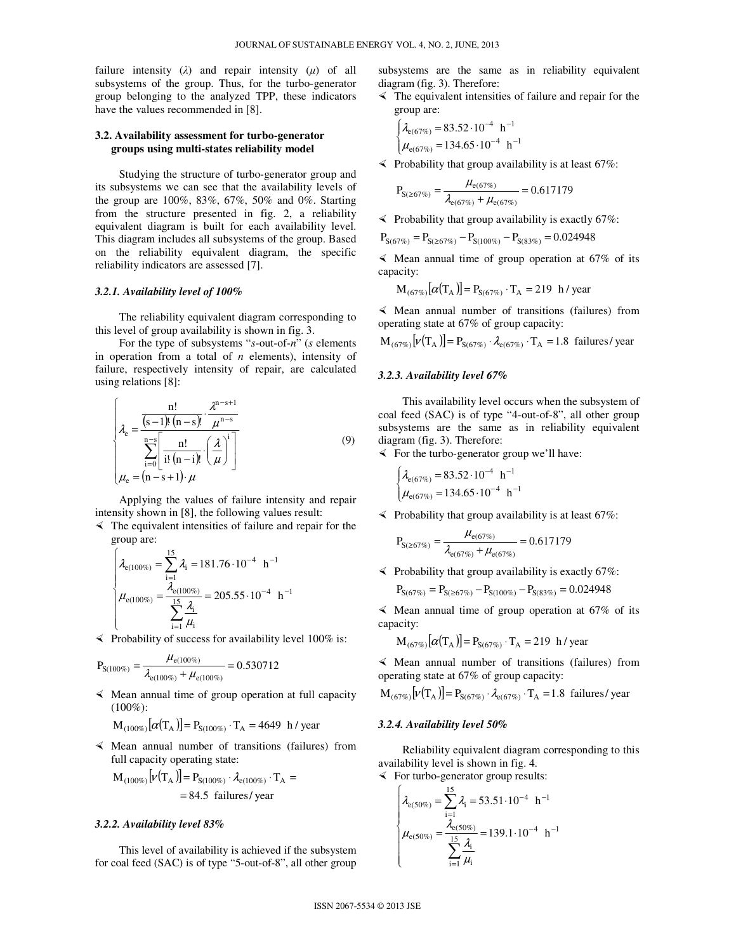failure intensity  $(\lambda)$  and repair intensity  $(\mu)$  of all subsystems of the group. Thus, for the turbo-generator group belonging to the analyzed TPP, these indicators have the values recommended in [8].

#### **3.2. Availability assessment for turbo-generator groups using multi-states reliability model**

Studying the structure of turbo-generator group and its subsystems we can see that the availability levels of the group are 100%, 83%, 67%, 50% and 0%. Starting from the structure presented in fig. 2, a reliability equivalent diagram is built for each availability level. This diagram includes all subsystems of the group. Based on the reliability equivalent diagram, the specific reliability indicators are assessed [7].

#### *3.2.1. Availability level of 100%*

The reliability equivalent diagram corresponding to this level of group availability is shown in fig. 3.

For the type of subsystems "*s-*out-of-*n*" (*s* elements in operation from a total of *n* elements), intensity of failure, respectively intensity of repair, are calculated using relations [8]:

$$
\lambda_{\rm e} = \frac{\frac{n!}{(s-1)!(n-s)!} \cdot \frac{\lambda^{n-s+1}}{\mu^{n-s}}}{\sum_{i=0}^{n-s} \left[\frac{n!}{i!(n-i)!} \cdot \left(\frac{\lambda}{\mu}\right)^i\right]}
$$
\n
$$
\mu_{\rm e} = (n-s+1) \cdot \mu
$$
\n(9)

Applying the values of failure intensity and repair intensity shown in [8], the following values result:

 $\prec$  The equivalent intensities of failure and repair for the group are:

$$
\begin{cases}\n\lambda_{e(100\%)} = \sum_{i=1}^{15} \lambda_i = 181.76 \cdot 10^{-4} \text{ h}^{-1} \\
\mu_{e(100\%)} = \frac{\lambda_{e(100\%)}}{\sum_{i=1}^{15} \frac{\lambda_i}{\mu_i}} = 205.55 \cdot 10^{-4} \text{ h}^{-1}\n\end{cases}
$$

 $\leq$  Probability of success for availability level 100% is:

$$
P_{S(100\%)} = \frac{\mu_{e(100\%)}}{\lambda_{e(100\%)} + \mu_{e(100\%)}} = 0.530712
$$

 $\leq$  Mean annual time of group operation at full capacity  $(100\%):$ 

$$
M_{(100\%)}[\alpha(\text{T}_A)] = P_{S(100\%)} \cdot \text{T}_A = 4649 \text{ h/year}
$$

 $\leq$  Mean annual number of transitions (failures) from full capacity operating state:

$$
M_{(100\%)}[\nu(T_A)] = P_{S(100\%)} \cdot \lambda_{e(100\%)} \cdot T_A =
$$
  
= 84.5 failures/ year

#### *3.2.2. Availability level 83%*

This level of availability is achieved if the subsystem for coal feed (SAC) is of type "5-out-of-8", all other group subsystems are the same as in reliability equivalent diagram (fig. 3). Therefore:

 $\prec$  The equivalent intensities of failure and repair for the group are:

$$
\begin{cases} \lambda_{e(67\%)} = 83.52 \cdot 10^{-4} \text{ h}^{-1} \\ \mu_{e(67\%)} = 134.65 \cdot 10^{-4} \text{ h}^{-1} \end{cases}
$$

 $\leq$  Probability that group availability is at least 67%:

$$
P_{S(\geq 67\%)} = \frac{\mu_{e(67\%)}}{\lambda_{e(67\%)} + \mu_{e(67\%)}} = 0.617179
$$

 $\leq$  Probability that group availability is exactly 67%:

 $P_{S(67\%)} = P_{S(\geq 67\%)} - P_{S(100\%)} - P_{S(83\%)} = 0.024948$ 

 $\leq$  Mean annual time of group operation at 67% of its capacity:

$$
M_{(67\%)}[\alpha(T_A)] = P_{S(67\%)} \cdot T_A = 219 \text{ h/ year}
$$

 $\leq$  Mean annual number of transitions (failures) from operating state at 67% of group capacity:

$$
M_{(67\%)}[\nu(T_A)] = P_{S(67\%)} \cdot \lambda_{e(67\%)} \cdot T_A = 1.8 \text{ failures/ year}
$$

#### *3.2.3. Availability level 67%*

This availability level occurs when the subsystem of coal feed (SAC) is of type "4-out-of-8", all other group subsystems are the same as in reliability equivalent diagram (fig. 3). Therefore:

 $\leq$  For the turbo-generator group we'll have:

$$
\begin{cases} \lambda_{e(67\%)} = 83.52 \cdot 10^{-4} \text{ h}^{-1} \\ \mu_{e(67\%)} = 134.65 \cdot 10^{-4} \text{ h}^{-1} \end{cases}
$$

 $\leq$  Probability that group availability is at least 67%:

$$
P_{S(\geq 67\%)} = \frac{\mu_{e(67\%)}}{\lambda_{e(67\%)} + \mu_{e(67\%)}} = 0.617179
$$

 $\leq$  Probability that group availability is exactly 67%:

 $P_{S(67\%)} = P_{S(\geq 67\%)} - P_{S(100\%)} - P_{S(83\%)} = 0.024948$ 

 $\leq$  Mean annual time of group operation at 67% of its capacity:

$$
M_{(67\%)}[\alpha(T_A)] = P_{S(67\%)} \cdot T_A = 219 \text{ h/year}
$$

 Mean annual number of transitions (failures) from operating state at 67% of group capacity:

 $M_{(67\%)}[\nu(T_A)] = P_{S(67\%)} \cdot \lambda_{e(67\%)} \cdot T_A = 1.8$  failures/year

#### *3.2.4. Availability level 50%*

Reliability equivalent diagram corresponding to this availability level is shown in fig. 4.

 $\leq$  For turbo-generator group results:

$$
\lambda_{e(50\%)} = \sum_{i=1}^{15} \lambda_i = 53.51 \cdot 10^{-4} \text{ h}^{-1}
$$

$$
\mu_{e(50\%)} = \frac{\lambda_{e(50\%)}}{\sum_{i=1}^{15} \frac{\lambda_i}{\mu_i}} = 139.1 \cdot 10^{-4} \text{ h}^{-1}
$$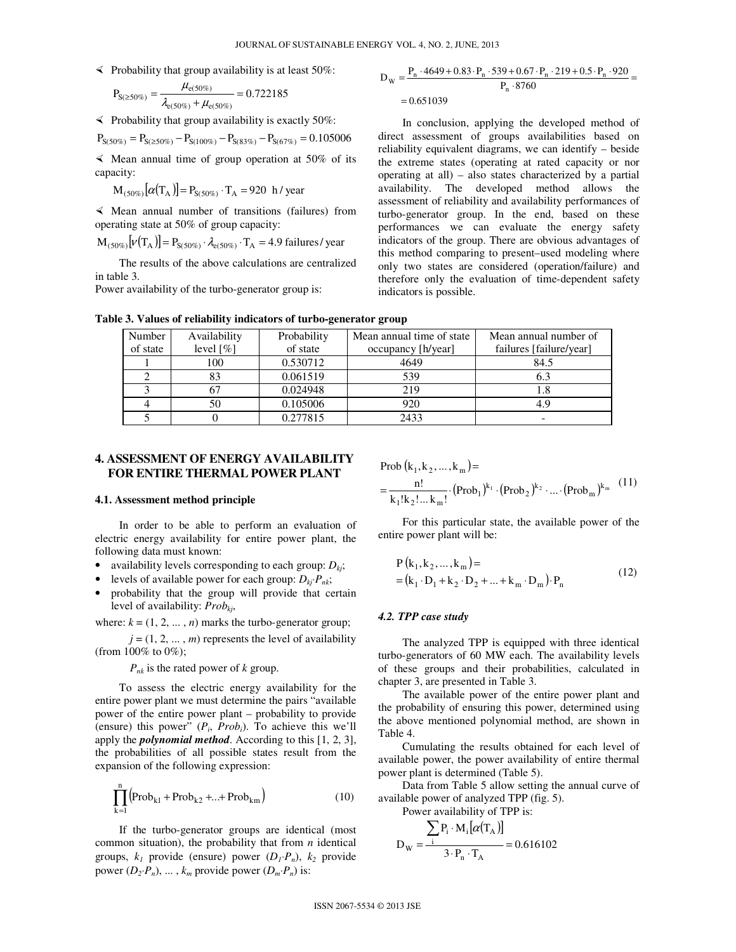$\leq$  Probability that group availability is at least 50%:

$$
P_{S(\geq 50\%)} = \frac{\mu_{e(50\%)}}{\lambda_{e(50\%)} + \mu_{e(50\%)}} = 0.722185
$$

 $\leq$  Probability that group availability is exactly 50%:

 $P_{S(50\%)} = P_{S(\geq 50\%)} - P_{S(100\%)} - P_{S(83\%)} - P_{S(67\%)} = 0.105006$ 

 $\leq$  Mean annual time of group operation at 50% of its capacity:

 $M_{(50\%)}[\alpha(T_A)] = P_{S(50\%)} \cdot T_A = 920 \text{ h/ year}$ 

 $\leq$  Mean annual number of transitions (failures) from operating state at 50% of group capacity:

 $M_{(50\%)}[\nu(T_A)] = P_{S(50\%)} \cdot \lambda_{e(50\%)} \cdot T_A = 4.9 \text{ failures/ year}$ 

The results of the above calculations are centralized in table 3.

Power availability of the turbo-generator group is:

$$
D_{\rm W} = \frac{P_{\rm n} \cdot 4649 + 0.83 \cdot P_{\rm n} \cdot 539 + 0.67 \cdot P_{\rm n} \cdot 219 + 0.5 \cdot P_{\rm n} \cdot 920}{P_{\rm n} \cdot 8760} = 0.651039
$$

In conclusion, applying the developed method of direct assessment of groups availabilities based on reliability equivalent diagrams, we can identify – beside the extreme states (operating at rated capacity or nor operating at all) – also states characterized by a partial availability. The developed method allows the assessment of reliability and availability performances of turbo-generator group. In the end, based on these performances we can evaluate the energy safety indicators of the group. There are obvious advantages of this method comparing to present–used modeling where only two states are considered (operation/failure) and therefore only the evaluation of time-dependent safety indicators is possible.

| Number   | Availability             | Probability | Mean annual time of state | Mean annual number of   |
|----------|--------------------------|-------------|---------------------------|-------------------------|
| of state | level $\lceil \% \rceil$ | of state    | occupancy [h/year]        | failures [failure/year] |
|          | 100                      | 0.530712    | 4649                      | 84.5                    |
|          |                          | 0.061519    | 539                       | 6.3                     |
|          |                          | 0.024948    | 219                       |                         |
|          | 50                       | 0.105006    | 920                       | 4.9                     |
|          |                          | 0.277815    | 2433                      |                         |
|          |                          |             |                           |                         |

**Table 3. Values of reliability indicators of turbo-generator group** 

#### **4. ASSESSMENT OF ENERGY AVAILABILITY FOR ENTIRE THERMAL POWER PLANT**

#### **4.1. Assessment method principle**

In order to be able to perform an evaluation of electric energy availability for entire power plant, the following data must known:

- availability levels corresponding to each group:  $D_{ki}$ ;
- levels of available power for each group:  $D_{ki} \cdot P_{nk}$ ;
- probability that the group will provide that certain level of availability: *Probkj*,

where:  $k = (1, 2, \dots, n)$  marks the turbo-generator group;

 $j = (1, 2, \dots, m)$  represents the level of availability (from 100% to 0%);

*Pnk* is the rated power of *k* group.

To assess the electric energy availability for the entire power plant we must determine the pairs "available power of the entire power plant – probability to provide (ensure) this power" (*P<sup>i</sup>* , *Probi*). To achieve this we'll apply the *polynomial method*. According to this [1, 2, 3], the probabilities of all possible states result from the expansion of the following expression:

$$
\prod_{k=1}^{n} (Prob_{k1} + Prob_{k2} + ... + Prob_{km})
$$
 (10)

If the turbo-generator groups are identical (most common situation), the probability that from *n* identical groups,  $k_1$  provide (ensure) power  $(D_1 \cdot P_n)$ ,  $k_2$  provide power  $(D_2 \cdot P_n)$ , ...,  $k_m$  provide power  $(D_m \cdot P_n)$  is:

Prob (k<sub>1</sub>, k<sub>2</sub>,...,k<sub>m</sub>)=  
= 
$$
\frac{n!}{k_1! k_2!... k_m!}
$$
 (Prob<sub>1</sub>)<sup>k<sub>1</sub></sup> (Prob<sub>2</sub>)<sup>k<sub>2</sub></sup> .... (Prob<sub>m</sub>)<sup>k<sub>m</sub></sup> (11)

For this particular state, the available power of the entire power plant will be:

$$
P(k_1, k_2, ..., k_m) =
$$
  
= (k<sub>1</sub> · D<sub>1</sub> + k<sub>2</sub> · D<sub>2</sub> + ... + k<sub>m</sub> · D<sub>m</sub>) · P<sub>n</sub> (12)

#### *4.2. TPP case study*

The analyzed TPP is equipped with three identical turbo-generators of 60 MW each. The availability levels of these groups and their probabilities, calculated in chapter 3, are presented in Table 3.

The available power of the entire power plant and the probability of ensuring this power, determined using the above mentioned polynomial method, are shown in Table 4.

Cumulating the results obtained for each level of available power, the power availability of entire thermal power plant is determined (Table 5).

Data from Table 5 allow setting the annual curve of available power of analyzed TPP (fig. 5). Power availability of TPP is:

D<sub>W</sub> = 
$$
\frac{\sum P_i \cdot M_i [\alpha(T_A)]}{3 \cdot P_n \cdot T_A} = 0.616102
$$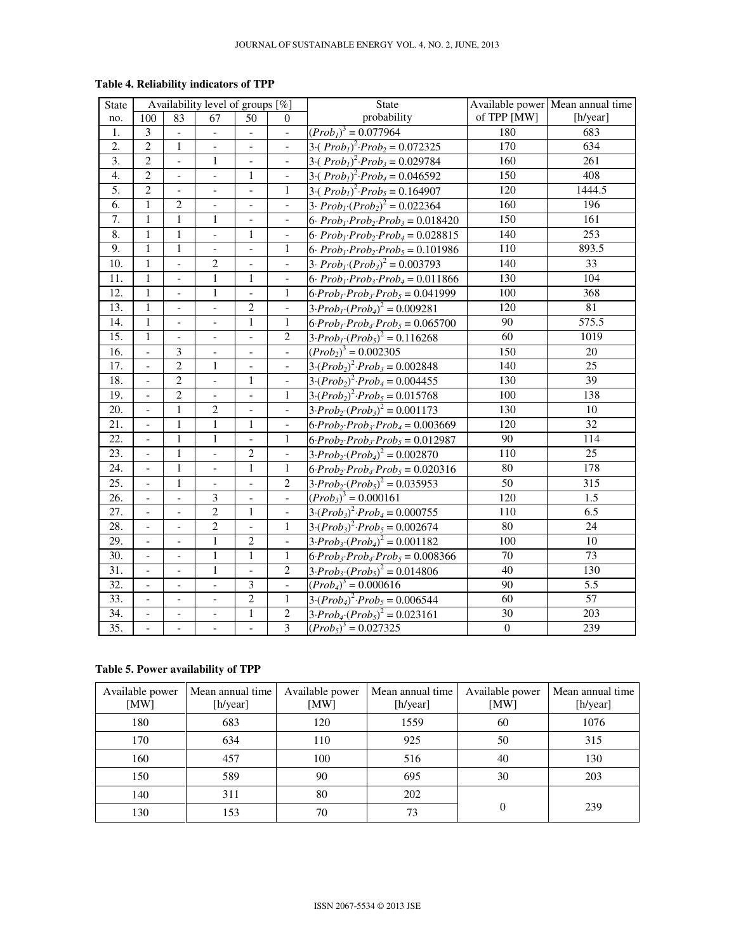| State             | Availability level of groups [%] |                              | <b>State</b>             |                              | Available power Mean annual time |                                                       |                  |                  |
|-------------------|----------------------------------|------------------------------|--------------------------|------------------------------|----------------------------------|-------------------------------------------------------|------------------|------------------|
| no.               | 100                              | 83                           | 67                       | 50                           | $\Omega$                         | probability                                           | of TPP [MW]      | [h/year]         |
| 1.                | 3                                |                              | $\overline{\phantom{a}}$ | $\blacksquare$               | $\Box$                           | $(Prob1)3 = 0.077964$                                 | 180              | 683              |
| $\overline{2}$ .  | $\overline{2}$                   | $\mathbf{1}$                 |                          | $\frac{1}{2}$                |                                  | $3\cdot(Prob_1)^2\cdot Prob_2 = 0.072325$             | 170              | 634              |
| $\overline{3}$ .  | $\overline{2}$                   | $\overline{a}$               | $\mathbf{1}$             | $\overline{\phantom{0}}$     | $\overline{\phantom{a}}$         | 3.( $Prob1$ ) <sup>2</sup> $\cdot Prob3 = 0.029784$   | 160              | $\overline{261}$ |
| 4.                | $\overline{2}$                   | $\overline{a}$               |                          | $\mathbf{1}$                 | $\frac{1}{2}$                    | $\overline{3\cdot(Prob_1)^2\cdot Prob_4} = 0.046592$  | 150              | 408              |
| $\overline{5}$ .  | $\overline{2}$                   | $\overline{a}$               | $\overline{\phantom{a}}$ | $\overline{\phantom{a}}$     | $\mathbf{1}$                     | 3.( $Prob1$ ) <sup>2</sup> $\cdot Prob5 = 0.164907$   | 120              | 1444.5           |
| 6.                | $\mathbf{1}$                     | $\overline{2}$               | $\overline{\phantom{a}}$ | $\overline{\phantom{a}}$     | $\overline{\phantom{a}}$         | $3. Prob1(Prob2)2 = 0.022364$                         | 160              | 196              |
| 7.                | $\mathbf{1}$                     | $\mathbf{1}$                 | $\mathbf{1}$             | $\qquad \qquad \blacksquare$ | $\overline{\phantom{a}}$         | 6. $Prob_1$ · $Prob_2$ · $Prob_3 = 0.018420$          | 150              | 161              |
| 8.                | $\mathbf{1}$                     | $\mathbf{1}$                 | $\blacksquare$           | $\mathbf{1}$                 | $\overline{\phantom{a}}$         | 6· $Prob_1$ · $Prob_2$ · $Prob_4$ = 0.028815          | 140              | 253              |
| 9.                | $\mathbf{1}$                     | $\,1$                        | $\overline{\phantom{a}}$ | $\overline{\phantom{a}}$     | $\mathbf{1}$                     | $6. Prob_1 \cdot Prob_2 \cdot Prob_5 = 0.101986$      | 110              | 893.5            |
| 10.               | $\mathbf{1}$                     | $\overline{a}$               | $\sqrt{2}$               | $\overline{\phantom{a}}$     | $\overline{\phantom{a}}$         | $3 \cdot Prob_{i}(Prob_{3})^{2} = 0.003793$           | 140              | 33               |
| 11.               | $\mathbf{1}$                     | $\overline{a}$               | $\mathbf{1}$             | $\mathbf{1}$                 | $\overline{\phantom{a}}$         | 6. $Prob_1$ $Prob_3$ $Prob_4 = 0.011866$              | 130              | 104              |
| $\overline{12}$ . | $\mathbf{1}$                     | $\overline{a}$               | $\mathbf{1}$             | $\Box$                       | $\mathbf{1}$                     | $6 \cdot Prob_1 \cdot Prob_3 \cdot Prob_5 = 0.041999$ | $\overline{100}$ | $\overline{368}$ |
| 13.               | $\mathbf{1}$                     | $\overline{\phantom{0}}$     | $\overline{\phantom{a}}$ | $\overline{2}$               | $\overline{\phantom{a}}$         | $3 \cdot Prob_{1} \cdot (Prob_{4})^{2} = 0.009281$    | 120              | 81               |
| 14.               | $\mathbf{1}$                     | $\qquad \qquad \blacksquare$ | $\overline{\phantom{a}}$ | $\mathbf{1}$                 | 1                                | $6 \cdot Prob_1 \cdot Prob_4 \cdot Prob_5 = 0.065700$ | 90               | 575.5            |
| 15.               | $\mathbf{1}$                     | $\frac{1}{2}$                | $\overline{\phantom{a}}$ | $\overline{\phantom{a}}$     | $\sqrt{2}$                       | $3 \cdot Prob_1 \cdot (Prob_5)^2 = 0.116268$          | $\overline{60}$  | 1019             |
| 16.               | $\frac{1}{2}$                    | 3                            | $\blacksquare$           | $\blacksquare$               | $\Box$                           | $(Prob_2)^3 = 0.002305$                               | 150              | 20               |
| 17.               | $\frac{1}{2}$                    | $\overline{2}$               | 1                        | $\blacksquare$               | $\blacksquare$                   | $3 \cdot (Prob_2)^2 \cdot Prob_3 = 0.002848$          | 140              | 25               |
| 18.               | $\qquad \qquad -$                | $\overline{2}$               | $\Box$                   | $\mathbf{1}$                 | $\overline{\phantom{a}}$         | $3 \cdot (Prob_2)^2 \cdot Prob_4 = 0.004455$          | 130              | $\overline{39}$  |
| 19.               | $\overline{\phantom{0}}$         | $\overline{2}$               | $\overline{\phantom{a}}$ | $\frac{1}{2}$                | $\mathbf{1}$                     | $3 \cdot (Prob_2)^2 \cdot Prob_5 = 0.015768$          | 100              | 138              |
| 20.               | $\overline{\phantom{0}}$         | $\mathbf{1}$                 | $\overline{2}$           | $\overline{\phantom{a}}$     | $\overline{\phantom{a}}$         | $3 \cdot Prob_2 \cdot (Prob_3)^2 = 0.001173$          | 130              | 10               |
| 21.               | $\overline{\phantom{0}}$         | $\mathbf{1}$                 | $\mathbf{1}$             | $\mathbf{1}$                 | $\blacksquare$                   | $6 \cdot Prob_2 \cdot Prob_3 \cdot Prob_4 = 0.003669$ | 120              | 32               |
| 22.               | $\overline{\phantom{a}}$         | $\mathbf{1}$                 | $\mathbf{1}$             | $\frac{1}{2}$                | $\mathbf{1}$                     | $6 \cdot Prob_2 \cdot Prob_3 \cdot Prob_5 = 0.012987$ | $90\,$           | 114              |
| 23.               | $\overline{\phantom{a}}$         | $\mathbf{1}$                 | $\overline{\phantom{0}}$ | $\overline{2}$               | $\Box$                           | $3 \cdot Prob_2 \cdot (Prob_4)^2 = 0.002870$          | 110              | 25               |
| $\overline{24}$ . | $\overline{a}$                   | $\overline{1}$               | $\overline{a}$           | $\overline{1}$               | $\mathbf{1}$                     | $6 \cdot Prob_2 \cdot Prob_4 \cdot Prob_5 = 0.020316$ | $\overline{80}$  | 178              |
| $\overline{25}$ . | $\overline{a}$                   | $\mathbf{1}$                 | $\overline{a}$           | $\frac{1}{2}$                | $\overline{2}$                   | $3 \cdot Prob_2 \cdot (Prob_5)^2 = 0.035953$          | $\overline{50}$  | $\overline{315}$ |
| 26.               | $\overline{\phantom{0}}$         |                              | $\mathfrak{Z}$           |                              | $\overline{\phantom{a}}$         | $(Prob_3)^3 = 0.000161$                               | 120              | 1.5              |
| 27.               | $\overline{\phantom{0}}$         | $\overline{a}$               | $\overline{2}$           | $\overline{1}$               | $\overline{\phantom{a}}$         | $3 \cdot (Prob_3)^2 \cdot Prob_4 = 0.000755$          | $\overline{110}$ | 6.5              |
| 28.               | $\overline{\phantom{0}}$         | $\overline{a}$               | $\overline{2}$           | $\overline{a}$               | $\mathbf{1}$                     | $3 \cdot (Prob_3)^2 \cdot Prob_5 = 0.002674$          | $\overline{80}$  | 24               |
| 29.               | $\overline{\phantom{0}}$         | $\overline{a}$               | $\mathbf{1}$             | $\overline{2}$               | $\Box$                           | $3 \cdot Prob_3 \cdot (Prob_4)^2 = 0.001182$          | $\overline{100}$ | 10               |
| 30.               | $\blacksquare$                   | $\frac{1}{2}$                | $\mathbf{1}$             | $\mathbf{1}$                 | $\mathbf{1}$                     | $6 \cdot Prob_3 \cdot Prob_4 \cdot Prob_5 = 0.008366$ | $\overline{70}$  | $\overline{73}$  |
| 31.               | $\overline{a}$                   |                              | $\mathbf{1}$             |                              | $\overline{2}$                   | $3 \cdot Prob_3 \cdot (Prob_5)^2 = 0.014806$          | 40               | 130              |
| 32.               | $\overline{\phantom{0}}$         | $\frac{1}{2}$                | $\overline{a}$           | $\overline{\mathbf{3}}$      | $\overline{\phantom{a}}$         | $(Prob4)3 = 0.000616$                                 | $\overline{90}$  | $\overline{5.5}$ |
| $\overline{33}$ . | $\overline{\phantom{a}}$         |                              |                          | $\overline{2}$               | $\mathbf{1}$                     | $3 \cdot (Prob_4)^2 \cdot Prob_5 = 0.006544$          | $\overline{60}$  | $\overline{57}$  |
| 34.               | $\frac{1}{2}$                    |                              |                          | $\mathbf{1}$                 | $\sqrt{2}$                       | $3 \cdot Prob_4 \cdot (Prob_5)^2 = 0.023161$          | 30               | 203              |
| 35.               | $\frac{1}{2}$                    |                              |                          |                              | $\overline{3}$                   | $(Prob_5)^3 = 0.027325$                               | $\overline{0}$   | 239              |

## **Table 4. Reliability indicators of TPP**

## **Table 5. Power availability of TPP**

| Available power<br>[MW] | Mean annual time<br>[h/year] | Available power<br>[MW] | Mean annual time<br>[h/year] | Available power<br>[MW] | Mean annual time<br>[h/year] |
|-------------------------|------------------------------|-------------------------|------------------------------|-------------------------|------------------------------|
| 180                     | 683                          | 120                     | 1559                         | 60                      | 1076                         |
| 170                     | 634                          | 110                     | 925                          | 50                      | 315                          |
| 160                     | 457                          | 100                     | 516                          | 40                      | 130                          |
| 150                     | 589                          | 90                      | 695                          | 30                      | 203                          |
| 140                     | 311                          | 80                      | 202                          |                         |                              |
| 130                     | 153                          | 70                      | 73                           | $\theta$                | 239                          |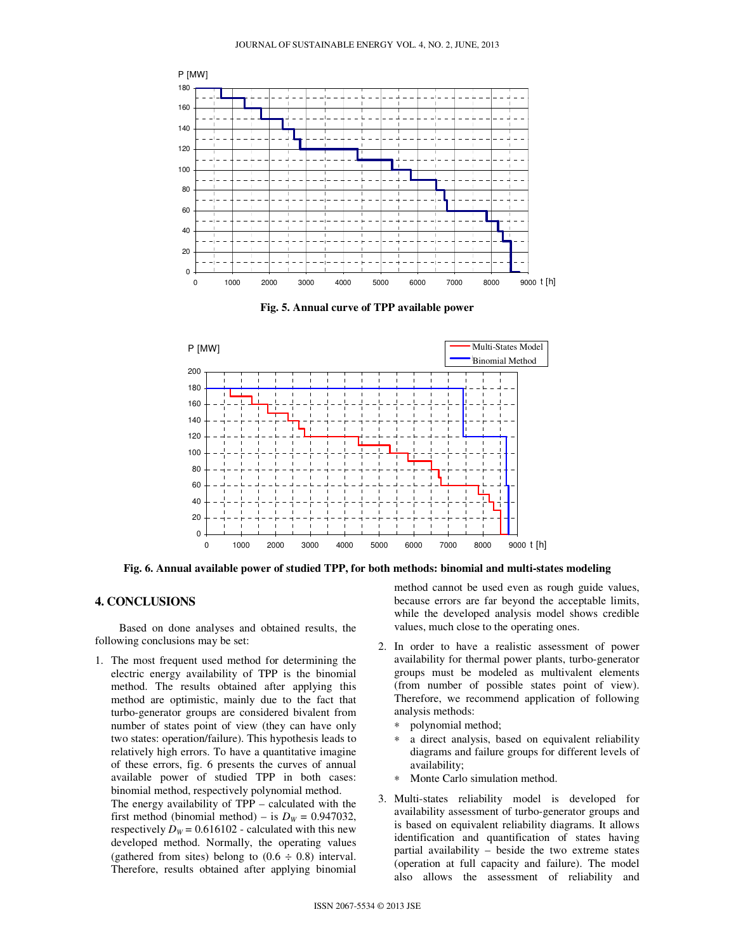

**Fig. 5. Annual curve of TPP available power** 



**Fig. 6. Annual available power of studied TPP, for both methods: binomial and multi-states modeling** 

### **4. CONCLUSIONS**

Based on done analyses and obtained results, the following conclusions may be set:

1. The most frequent used method for determining the electric energy availability of TPP is the binomial method. The results obtained after applying this method are optimistic, mainly due to the fact that turbo-generator groups are considered bivalent from number of states point of view (they can have only two states: operation/failure). This hypothesis leads to relatively high errors. To have a quantitative imagine of these errors, fig. 6 presents the curves of annual available power of studied TPP in both cases: binomial method, respectively polynomial method. The energy availability of TPP – calculated with the first method (binomial method) – is  $D_W = 0.947032$ , respectively  $D_W = 0.616102$  - calculated with this new developed method. Normally, the operating values (gathered from sites) belong to  $(0.6 \div 0.8)$  interval. Therefore, results obtained after applying binomial method cannot be used even as rough guide values, because errors are far beyond the acceptable limits, while the developed analysis model shows credible values, much close to the operating ones.

- 2. In order to have a realistic assessment of power availability for thermal power plants, turbo-generator groups must be modeled as multivalent elements (from number of possible states point of view). Therefore, we recommend application of following analysis methods:
	- ∗ polynomial method;
	- a direct analysis, based on equivalent reliability diagrams and failure groups for different levels of availability;
	- ∗ Monte Carlo simulation method.
- 3. Multi-states reliability model is developed for availability assessment of turbo-generator groups and is based on equivalent reliability diagrams. It allows identification and quantification of states having partial availability – beside the two extreme states (operation at full capacity and failure). The model also allows the assessment of reliability and